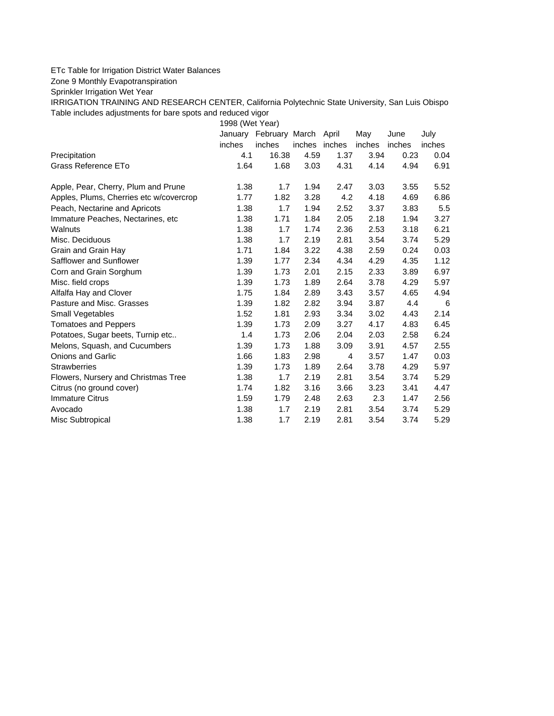## ETc Table for Irrigation District Water Balances

Zone 9 Monthly Evapotranspiration

Sprinkler Irrigation Wet Year

IRRIGATION TRAINING AND RESEARCH CENTER, California Polytechnic State University, San Luis Obispo Table includes adjustments for bare spots and reduced vigor

1998 (Wet Year)

|                                         |        | January February March April |               |      | May    | June   | July   |
|-----------------------------------------|--------|------------------------------|---------------|------|--------|--------|--------|
|                                         | inches | inches                       | inches inches |      | inches | inches | inches |
| Precipitation                           | 4.1    | 16.38                        | 4.59          | 1.37 | 3.94   | 0.23   | 0.04   |
| Grass Reference ETo                     | 1.64   | 1.68                         | 3.03          | 4.31 | 4.14   | 4.94   | 6.91   |
| Apple, Pear, Cherry, Plum and Prune     | 1.38   | 1.7                          | 1.94          | 2.47 | 3.03   | 3.55   | 5.52   |
| Apples, Plums, Cherries etc w/covercrop | 1.77   | 1.82                         | 3.28          | 4.2  | 4.18   | 4.69   | 6.86   |
| Peach, Nectarine and Apricots           | 1.38   | 1.7                          | 1.94          | 2.52 | 3.37   | 3.83   | 5.5    |
| Immature Peaches, Nectarines, etc       | 1.38   | 1.71                         | 1.84          | 2.05 | 2.18   | 1.94   | 3.27   |
| Walnuts                                 | 1.38   | 1.7                          | 1.74          | 2.36 | 2.53   | 3.18   | 6.21   |
| Misc. Deciduous                         | 1.38   | 1.7                          | 2.19          | 2.81 | 3.54   | 3.74   | 5.29   |
| Grain and Grain Hay                     | 1.71   | 1.84                         | 3.22          | 4.38 | 2.59   | 0.24   | 0.03   |
| Safflower and Sunflower                 | 1.39   | 1.77                         | 2.34          | 4.34 | 4.29   | 4.35   | 1.12   |
| Corn and Grain Sorghum                  | 1.39   | 1.73                         | 2.01          | 2.15 | 2.33   | 3.89   | 6.97   |
| Misc. field crops                       | 1.39   | 1.73                         | 1.89          | 2.64 | 3.78   | 4.29   | 5.97   |
| Alfalfa Hay and Clover                  | 1.75   | 1.84                         | 2.89          | 3.43 | 3.57   | 4.65   | 4.94   |
| Pasture and Misc. Grasses               | 1.39   | 1.82                         | 2.82          | 3.94 | 3.87   | 4.4    | 6      |
| Small Vegetables                        | 1.52   | 1.81                         | 2.93          | 3.34 | 3.02   | 4.43   | 2.14   |
| <b>Tomatoes and Peppers</b>             | 1.39   | 1.73                         | 2.09          | 3.27 | 4.17   | 4.83   | 6.45   |
| Potatoes, Sugar beets, Turnip etc       | 1.4    | 1.73                         | 2.06          | 2.04 | 2.03   | 2.58   | 6.24   |
| Melons, Squash, and Cucumbers           | 1.39   | 1.73                         | 1.88          | 3.09 | 3.91   | 4.57   | 2.55   |
| <b>Onions and Garlic</b>                | 1.66   | 1.83                         | 2.98          | 4    | 3.57   | 1.47   | 0.03   |
| <b>Strawberries</b>                     | 1.39   | 1.73                         | 1.89          | 2.64 | 3.78   | 4.29   | 5.97   |
| Flowers, Nursery and Christmas Tree     | 1.38   | 1.7                          | 2.19          | 2.81 | 3.54   | 3.74   | 5.29   |
| Citrus (no ground cover)                | 1.74   | 1.82                         | 3.16          | 3.66 | 3.23   | 3.41   | 4.47   |
| <b>Immature Citrus</b>                  | 1.59   | 1.79                         | 2.48          | 2.63 | 2.3    | 1.47   | 2.56   |
| Avocado                                 | 1.38   | 1.7                          | 2.19          | 2.81 | 3.54   | 3.74   | 5.29   |
| Misc Subtropical                        | 1.38   | 1.7                          | 2.19          | 2.81 | 3.54   | 3.74   | 5.29   |